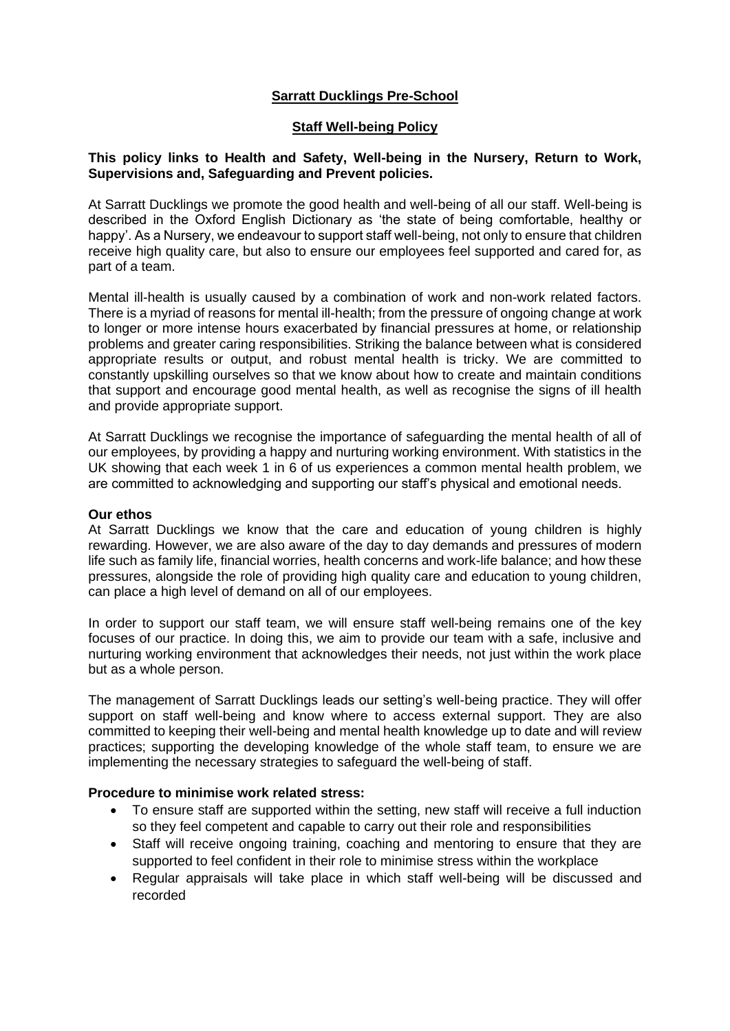## **Sarratt Ducklings Pre-School**

#### **Staff Well-being Policy**

#### **This policy links to Health and Safety, Well-being in the Nursery, Return to Work, Supervisions and, Safeguarding and Prevent policies.**

At Sarratt Ducklings we promote the good health and well-being of all our staff. Well-being is described in the Oxford English Dictionary as 'the state of being comfortable, healthy or happy'. As a Nursery, we endeavour to support staff well-being, not only to ensure that children receive high quality care, but also to ensure our employees feel supported and cared for, as part of a team.

Mental ill-health is usually caused by a combination of work and non-work related factors. There is a myriad of reasons for mental ill-health; from the pressure of ongoing change at work to longer or more intense hours exacerbated by financial pressures at home, or relationship problems and greater caring responsibilities. Striking the balance between what is considered appropriate results or output, and robust mental health is tricky. We are committed to constantly upskilling ourselves so that we know about how to create and maintain conditions that support and encourage good mental health, as well as recognise the signs of ill health and provide appropriate support.

At Sarratt Ducklings we recognise the importance of safeguarding the mental health of all of our employees, by providing a happy and nurturing working environment. With statistics in the UK showing that each week 1 in 6 of us experiences a common mental health problem, we are committed to acknowledging and supporting our staff's physical and emotional needs.

#### **Our ethos**

At Sarratt Ducklings we know that the care and education of young children is highly rewarding. However, we are also aware of the day to day demands and pressures of modern life such as family life, financial worries, health concerns and work-life balance; and how these pressures, alongside the role of providing high quality care and education to young children, can place a high level of demand on all of our employees.

In order to support our staff team, we will ensure staff well-being remains one of the key focuses of our practice. In doing this, we aim to provide our team with a safe, inclusive and nurturing working environment that acknowledges their needs, not just within the work place but as a whole person.

The management of Sarratt Ducklings leads our setting's well-being practice. They will offer support on staff well-being and know where to access external support. They are also committed to keeping their well-being and mental health knowledge up to date and will review practices; supporting the developing knowledge of the whole staff team, to ensure we are implementing the necessary strategies to safeguard the well-being of staff.

### **Procedure to minimise work related stress:**

- To ensure staff are supported within the setting, new staff will receive a full induction so they feel competent and capable to carry out their role and responsibilities
- Staff will receive ongoing training, coaching and mentoring to ensure that they are supported to feel confident in their role to minimise stress within the workplace
- Regular appraisals will take place in which staff well-being will be discussed and recorded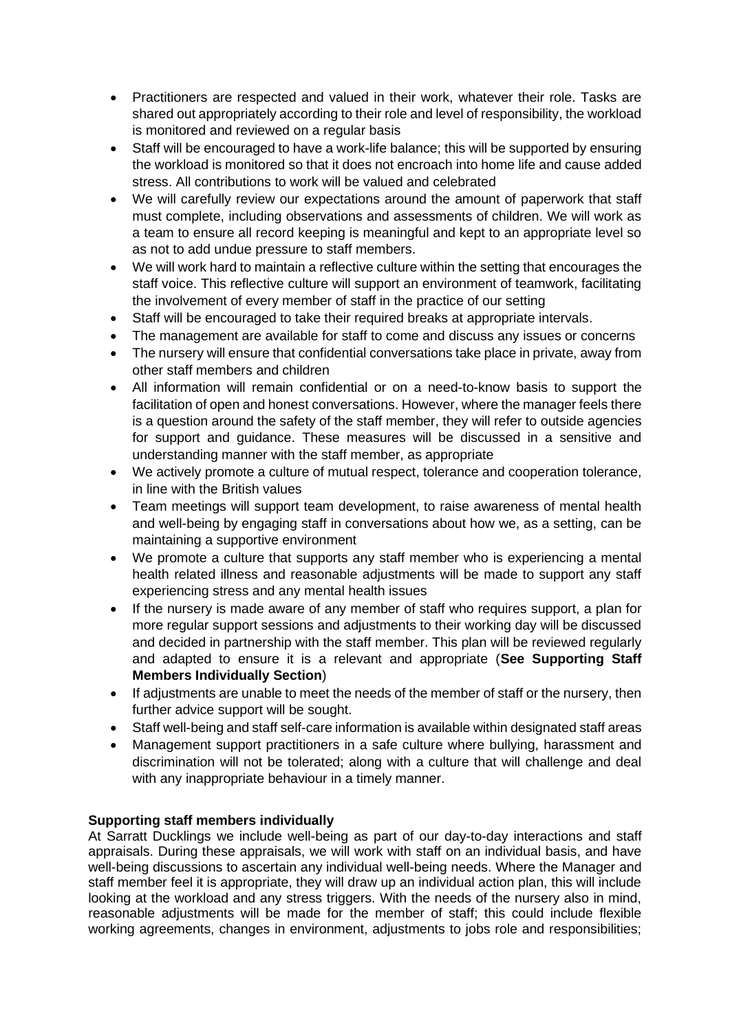- Practitioners are respected and valued in their work, whatever their role. Tasks are shared out appropriately according to their role and level of responsibility, the workload is monitored and reviewed on a regular basis
- Staff will be encouraged to have a work-life balance; this will be supported by ensuring the workload is monitored so that it does not encroach into home life and cause added stress. All contributions to work will be valued and celebrated
- We will carefully review our expectations around the amount of paperwork that staff must complete, including observations and assessments of children. We will work as a team to ensure all record keeping is meaningful and kept to an appropriate level so as not to add undue pressure to staff members.
- We will work hard to maintain a reflective culture within the setting that encourages the staff voice. This reflective culture will support an environment of teamwork, facilitating the involvement of every member of staff in the practice of our setting
- Staff will be encouraged to take their required breaks at appropriate intervals.
- The management are available for staff to come and discuss any issues or concerns
- The nursery will ensure that confidential conversations take place in private, away from other staff members and children
- All information will remain confidential or on a need-to-know basis to support the facilitation of open and honest conversations. However, where the manager feels there is a question around the safety of the staff member, they will refer to outside agencies for support and guidance. These measures will be discussed in a sensitive and understanding manner with the staff member, as appropriate
- We actively promote a culture of mutual respect, tolerance and cooperation tolerance, in line with the British values
- Team meetings will support team development, to raise awareness of mental health and well-being by engaging staff in conversations about how we, as a setting, can be maintaining a supportive environment
- We promote a culture that supports any staff member who is experiencing a mental health related illness and reasonable adjustments will be made to support any staff experiencing stress and any mental health issues
- If the nursery is made aware of any member of staff who requires support, a plan for more regular support sessions and adjustments to their working day will be discussed and decided in partnership with the staff member. This plan will be reviewed regularly and adapted to ensure it is a relevant and appropriate (**See Supporting Staff Members Individually Section**)
- If adjustments are unable to meet the needs of the member of staff or the nursery, then further advice support will be sought.
- Staff well-being and staff self-care information is available within designated staff areas
- Management support practitioners in a safe culture where bullying, harassment and discrimination will not be tolerated; along with a culture that will challenge and deal with any inappropriate behaviour in a timely manner.

# **Supporting staff members individually**

At Sarratt Ducklings we include well-being as part of our day-to-day interactions and staff appraisals. During these appraisals, we will work with staff on an individual basis, and have well-being discussions to ascertain any individual well-being needs. Where the Manager and staff member feel it is appropriate, they will draw up an individual action plan, this will include looking at the workload and any stress triggers. With the needs of the nursery also in mind, reasonable adjustments will be made for the member of staff; this could include flexible working agreements, changes in environment, adjustments to jobs role and responsibilities;